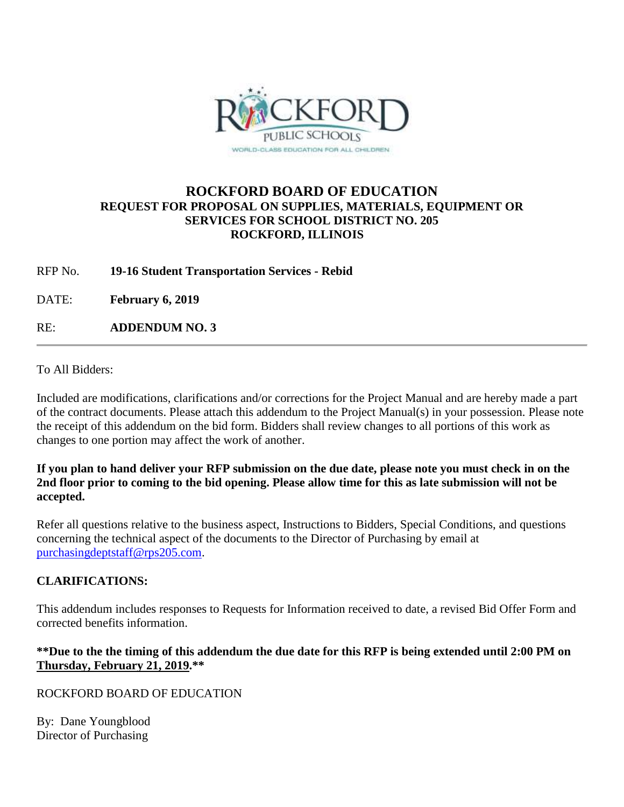

### **ROCKFORD BOARD OF EDUCATION REQUEST FOR PROPOSAL ON SUPPLIES, MATERIALS, EQUIPMENT OR SERVICES FOR SCHOOL DISTRICT NO. 205 ROCKFORD, ILLINOIS**

RFP No. **19-16 Student Transportation Services - Rebid**

DATE: **February 6, 2019**

RE: **ADDENDUM NO. 3**

To All Bidders:

Included are modifications, clarifications and/or corrections for the Project Manual and are hereby made a part of the contract documents. Please attach this addendum to the Project Manual(s) in your possession. Please note the receipt of this addendum on the bid form. Bidders shall review changes to all portions of this work as changes to one portion may affect the work of another.

#### **If you plan to hand deliver your RFP submission on the due date, please note you must check in on the 2nd floor prior to coming to the bid opening. Please allow time for this as late submission will not be accepted.**

Refer all questions relative to the business aspect, Instructions to Bidders, Special Conditions, and questions concerning the technical aspect of the documents to the Director of Purchasing by email at [purchasingdeptstaff@rps205.com.](mailto:purchasingdeptstaff@rps205.com)

#### **CLARIFICATIONS:**

This addendum includes responses to Requests for Information received to date, a revised Bid Offer Form and corrected benefits information.

#### **\*\*Due to the the timing of this addendum the due date for this RFP is being extended until 2:00 PM on Thursday, February 21, 2019.\*\***

ROCKFORD BOARD OF EDUCATION

By: Dane Youngblood Director of Purchasing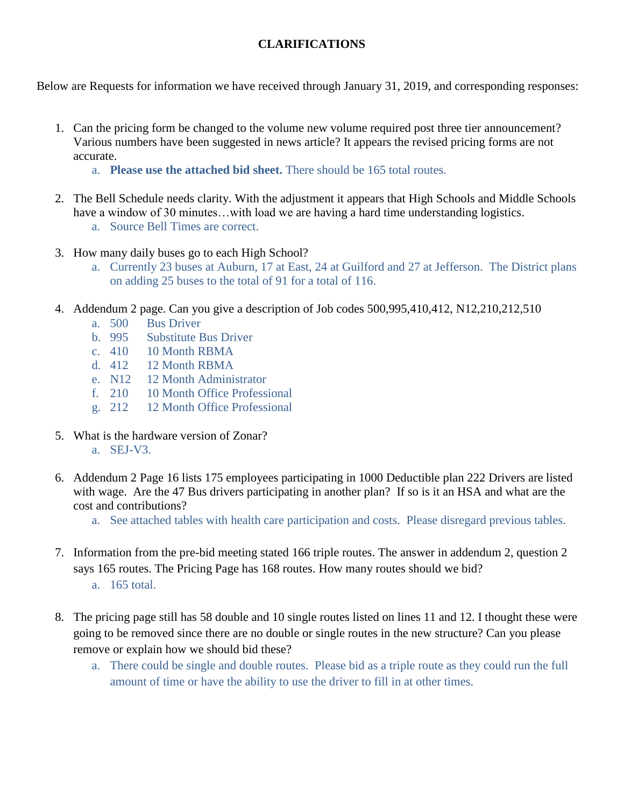### **CLARIFICATIONS**

Below are Requests for information we have received through January 31, 2019, and corresponding responses:

- 1. Can the pricing form be changed to the volume new volume required post three tier announcement? Various numbers have been suggested in news article? It appears the revised pricing forms are not accurate.
	- a. **Please use the attached bid sheet.** There should be 165 total routes.
- 2. The Bell Schedule needs clarity. With the adjustment it appears that High Schools and Middle Schools have a window of 30 minutes...with load we are having a hard time understanding logistics.
	- a. Source Bell Times are correct.
- 3. How many daily buses go to each High School?
	- a. Currently 23 buses at Auburn, 17 at East, 24 at Guilford and 27 at Jefferson. The District plans on adding 25 buses to the total of 91 for a total of 116.
- 4. Addendum 2 page. Can you give a description of Job codes 500,995,410,412, N12,210,212,510
	- a. 500 Bus Driver
	- b. 995 Substitute Bus Driver
	- c. 410 10 Month RBMA
	- d. 412 12 Month RBMA
	- e. N12 12 Month Administrator
	- f. 210 10 Month Office Professional
	- g. 212 12 Month Office Professional
- 5. What is the hardware version of Zonar?
	- a. SEJ-V3.
- 6. Addendum 2 Page 16 lists 175 employees participating in 1000 Deductible plan 222 Drivers are listed with wage. Are the 47 Bus drivers participating in another plan? If so is it an HSA and what are the cost and contributions?
	- a. See attached tables with health care participation and costs. Please disregard previous tables.
- 7. Information from the pre-bid meeting stated 166 triple routes. The answer in addendum 2, question 2 says 165 routes. The Pricing Page has 168 routes. How many routes should we bid?
	- a. 165 total.
- 8. The pricing page still has 58 double and 10 single routes listed on lines 11 and 12. I thought these were going to be removed since there are no double or single routes in the new structure? Can you please remove or explain how we should bid these?
	- a. There could be single and double routes. Please bid as a triple route as they could run the full amount of time or have the ability to use the driver to fill in at other times.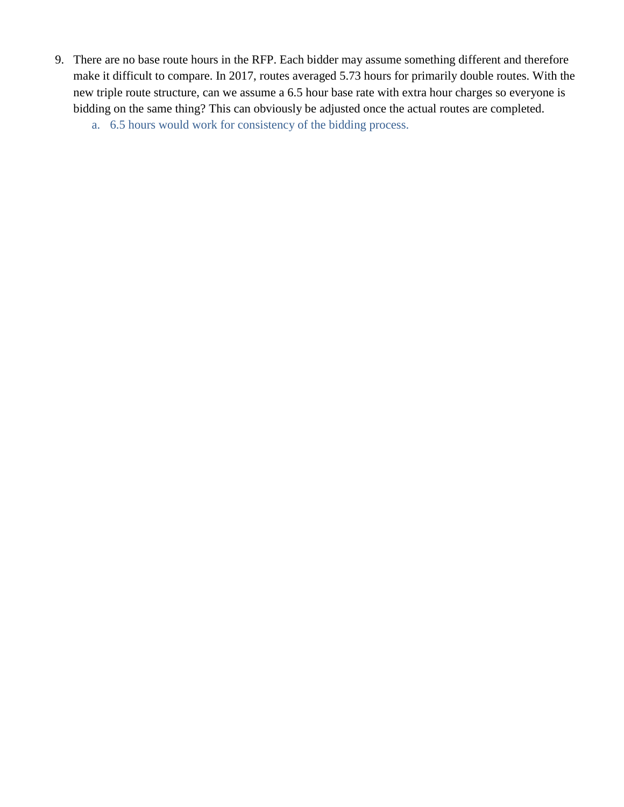- 9. There are no base route hours in the RFP. Each bidder may assume something different and therefore make it difficult to compare. In 2017, routes averaged 5.73 hours for primarily double routes. With the new triple route structure, can we assume a 6.5 hour base rate with extra hour charges so everyone is bidding on the same thing? This can obviously be adjusted once the actual routes are completed.
	- a. 6.5 hours would work for consistency of the bidding process.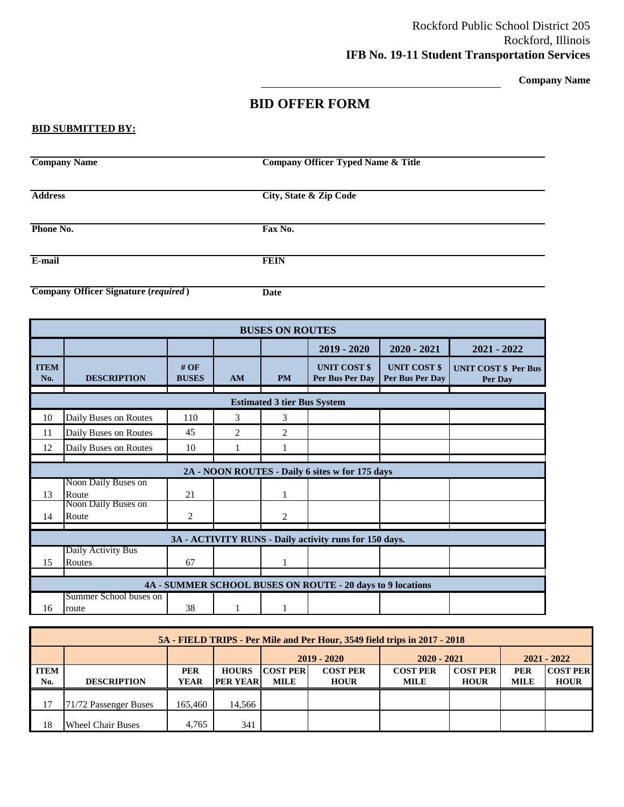**Company Name**

### **BID OFFER FORM**

#### **BID SUBMITTED BY:**

| <b>Company Name</b>                         | <b>Company Officer Typed Name &amp; Title</b> |  |
|---------------------------------------------|-----------------------------------------------|--|
| <b>Address</b>                              | <b>City, State &amp; Zip Code</b>             |  |
| Phone No.                                   | Fax No.                                       |  |
| E-mail                                      | <b>FEIN</b>                                   |  |
| <b>Company Officer Signature (required)</b> | Date                                          |  |

| <b>BUSES ON ROUTES</b> |                                 |                     |    |                                    |                                                            |                                        |                                        |  |
|------------------------|---------------------------------|---------------------|----|------------------------------------|------------------------------------------------------------|----------------------------------------|----------------------------------------|--|
|                        |                                 |                     |    |                                    | $2019 - 2020$                                              | $2020 - 2021$                          | $2021 - 2022$                          |  |
| <b>ITEM</b><br>No.     | <b>DESCRIPTION</b>              | #OF<br><b>BUSES</b> | AM | <b>PM</b>                          | <b>UNIT COST \$</b><br>Per Bus Per Dav                     | <b>UNIT COST \$</b><br>Per Bus Per Day | <b>UNIT COST \$ Per Bus</b><br>Per Day |  |
|                        |                                 |                     |    | <b>Estimated 3 tier Bus System</b> |                                                            |                                        |                                        |  |
| 10                     | Daily Buses on Routes           | 110                 | 3  | 3                                  |                                                            |                                        |                                        |  |
| 11                     | Daily Buses on Routes           | 45                  | 2  | 2                                  |                                                            |                                        |                                        |  |
| 12                     | Daily Buses on Routes           | 10                  |    |                                    |                                                            |                                        |                                        |  |
|                        |                                 |                     |    |                                    |                                                            |                                        |                                        |  |
|                        |                                 |                     |    |                                    | 2A - NOON ROUTES - Daily 6 sites w for 175 days            |                                        |                                        |  |
| 13                     | Noon Daily Buses on<br>Route    | 21                  |    |                                    |                                                            |                                        |                                        |  |
|                        | Noon Daily Buses on             |                     |    |                                    |                                                            |                                        |                                        |  |
| 14                     | Route                           | 2                   |    | 2                                  |                                                            |                                        |                                        |  |
|                        |                                 |                     |    |                                    | 3A - ACTIVITY RUNS - Daily activity runs for 150 days.     |                                        |                                        |  |
|                        | Daily Activity Bus              |                     |    |                                    |                                                            |                                        |                                        |  |
| 15                     | Routes                          | 67                  |    |                                    |                                                            |                                        |                                        |  |
|                        |                                 |                     |    |                                    |                                                            |                                        |                                        |  |
|                        |                                 |                     |    |                                    | 4A - SUMMER SCHOOL BUSES ON ROUTE - 20 days to 9 locations |                                        |                                        |  |
| 16                     | Summer School buses on<br>route | 38                  |    |                                    |                                                            |                                        |                                        |  |

|             | 5A - FIELD TRIPS - Per Mile and Per Hour, 3549 field trips in 2017 - 2018 |             |                 |                  |                 |                 |                 |             |                 |  |
|-------------|---------------------------------------------------------------------------|-------------|-----------------|------------------|-----------------|-----------------|-----------------|-------------|-----------------|--|
|             |                                                                           |             |                 |                  | $2019 - 2020$   | $2020 - 2021$   | $2021 - 2022$   |             |                 |  |
| <b>ITEM</b> |                                                                           | <b>PER</b>  | <b>HOURS</b>    | <b>COST PERI</b> | <b>COST PER</b> | <b>COST PER</b> | <b>COST PER</b> | PER         | <b>COST PER</b> |  |
| No.         | <b>DESCRIPTION</b>                                                        | <b>YEAR</b> | <b>PER YEAR</b> | <b>MILE</b>      | <b>HOUR</b>     | <b>MILE</b>     | <b>HOUR</b>     | <b>MILE</b> | <b>HOUR</b>     |  |
| 17          | 71/72 Passenger Buses                                                     | 165.460     | 14.566          |                  |                 |                 |                 |             |                 |  |
| 18          | <b>Wheel Chair Buses</b>                                                  | 4.765       | 341             |                  |                 |                 |                 |             |                 |  |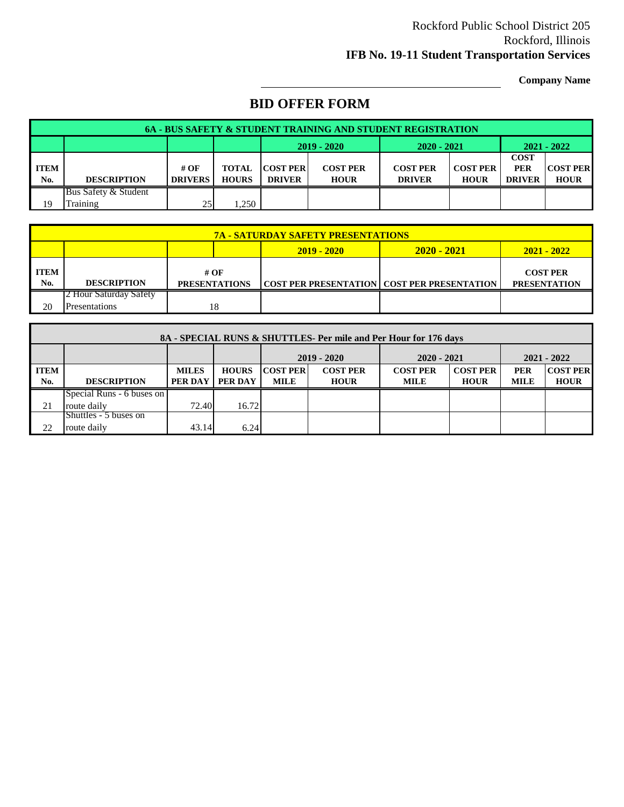**Company Name**

## **BID OFFER FORM**

| <b>6A - BUS SAFETY &amp; STUDENT TRAINING AND STUDENT REGISTRATION</b> |                      |                |              |                  |                 |                 |                 |               |                 |
|------------------------------------------------------------------------|----------------------|----------------|--------------|------------------|-----------------|-----------------|-----------------|---------------|-----------------|
|                                                                        |                      |                |              |                  | $2019 - 2020$   | $2020 - 2021$   |                 | $2021 - 2022$ |                 |
|                                                                        |                      |                |              |                  |                 |                 |                 | <b>COST</b>   |                 |
| <b>ITEM</b>                                                            |                      | # OF           | <b>TOTAL</b> | <b>COST PERI</b> | <b>COST PER</b> | <b>COST PER</b> | <b>COST PER</b> | <b>PER</b>    | <b>COST PER</b> |
| No.                                                                    | <b>DESCRIPTION</b>   | <b>DRIVERS</b> | <b>HOURS</b> | <b>DRIVER</b>    | <b>HOUR</b>     | <b>DRIVER</b>   | <b>HOUR</b>     | <b>DRIVER</b> | <b>HOUR</b>     |
|                                                                        | Bus Safety & Student |                |              |                  |                 |                 |                 |               |                 |
| 19                                                                     | Training             | 25             | ,250         |                  |                 |                 |                 |               |                 |

|                    | <b>7A - SATURDAY SAFETY PRESENTATIONS</b>       |                              |  |                                                        |                                        |  |  |  |  |
|--------------------|-------------------------------------------------|------------------------------|--|--------------------------------------------------------|----------------------------------------|--|--|--|--|
|                    | $2020 - 2021$<br>$2021 - 2022$<br>$2019 - 2020$ |                              |  |                                                        |                                        |  |  |  |  |
| <b>ITEM</b><br>No. | <b>DESCRIPTION</b>                              | # OF<br><b>PRESENTATIONS</b> |  | <b>COST PER PRESENTATION   COST PER PRESENTATION  </b> | <b>COST PER</b><br><b>PRESENTATION</b> |  |  |  |  |
|                    | 2 Hour Saturday Safety                          |                              |  |                                                        |                                        |  |  |  |  |
| 20                 | <b>Presentations</b>                            | 18                           |  |                                                        |                                        |  |  |  |  |

|             | 8A - SPECIAL RUNS & SHUTTLES- Per mile and Per Hour for 176 days |              |              |                 |                 |                 |                 |               |                 |  |
|-------------|------------------------------------------------------------------|--------------|--------------|-----------------|-----------------|-----------------|-----------------|---------------|-----------------|--|
|             |                                                                  |              |              | $2019 - 2020$   |                 | $2020 - 2021$   |                 | $2021 - 2022$ |                 |  |
| <b>ITEM</b> |                                                                  | <b>MILES</b> | <b>HOURS</b> | <b>COST PER</b> | <b>COST PER</b> | <b>COST PER</b> | <b>COST PER</b> | <b>PER</b>    | <b>COST PER</b> |  |
| No.         | <b>DESCRIPTION</b>                                               | PER DAY      | PER DAY      | MILE            | <b>HOUR</b>     | <b>MILE</b>     | <b>HOUR</b>     | <b>MILE</b>   | <b>HOUR</b>     |  |
|             | Special Runs - 6 buses on                                        |              |              |                 |                 |                 |                 |               |                 |  |
| 21          | route daily                                                      | 72.40        | 16.72        |                 |                 |                 |                 |               |                 |  |
|             | Shuttles - 5 buses on                                            |              |              |                 |                 |                 |                 |               |                 |  |
| 22          | route daily                                                      | 43.14        | 6.24         |                 |                 |                 |                 |               |                 |  |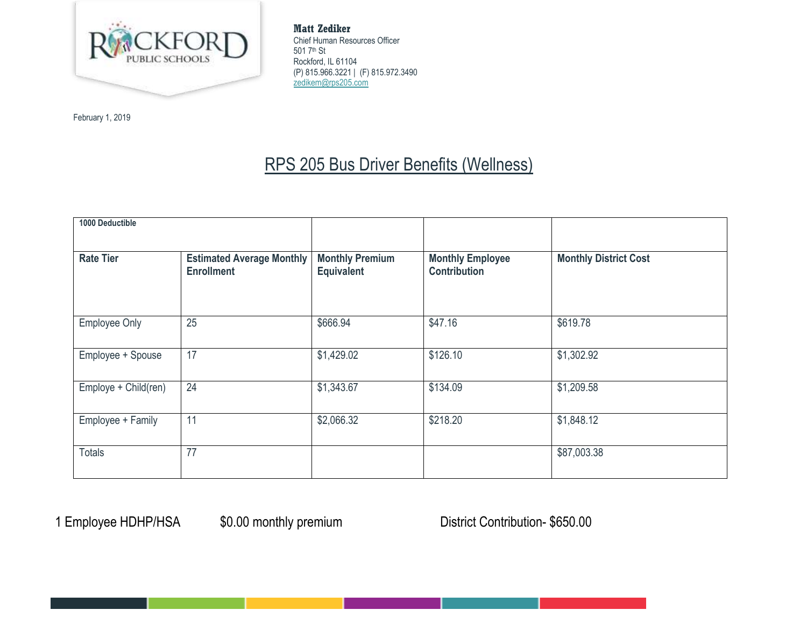

February 1, 2019

**Matt Zediker** Chief Human Resources Officer 501 7th St Rockford, IL 61104 (P) 815.966.3221 | (F) 815.972.3490 [zedikem@rps205.com](mailto:zedikem@rps205.com)

# RPS 205 Bus Driver Benefits (Wellness)

| 1000 Deductible      |                                                       |                                      |                                                |                              |
|----------------------|-------------------------------------------------------|--------------------------------------|------------------------------------------------|------------------------------|
|                      |                                                       |                                      |                                                |                              |
| <b>Rate Tier</b>     | <b>Estimated Average Monthly</b><br><b>Enrollment</b> | <b>Monthly Premium</b><br>Equivalent | <b>Monthly Employee</b><br><b>Contribution</b> | <b>Monthly District Cost</b> |
|                      |                                                       |                                      |                                                |                              |
|                      |                                                       |                                      |                                                |                              |
| <b>Employee Only</b> | 25                                                    | \$666.94                             | \$47.16                                        | \$619.78                     |
|                      |                                                       |                                      |                                                |                              |
| Employee + Spouse    | 17                                                    | \$1,429.02                           | \$126.10                                       | \$1,302.92                   |
|                      |                                                       |                                      |                                                |                              |
| Employe + Child(ren) | 24                                                    | \$1,343.67                           | \$134.09                                       | \$1,209.58                   |
|                      |                                                       |                                      |                                                |                              |
| Employee + Family    | 11                                                    | \$2,066.32                           | \$218.20                                       | \$1,848.12                   |
|                      |                                                       |                                      |                                                |                              |
| <b>Totals</b>        | 77                                                    |                                      |                                                | \$87,003.38                  |
|                      |                                                       |                                      |                                                |                              |

1 Employee HDHP/HSA  $$0.00$  monthly premium District Contribution- \$650.00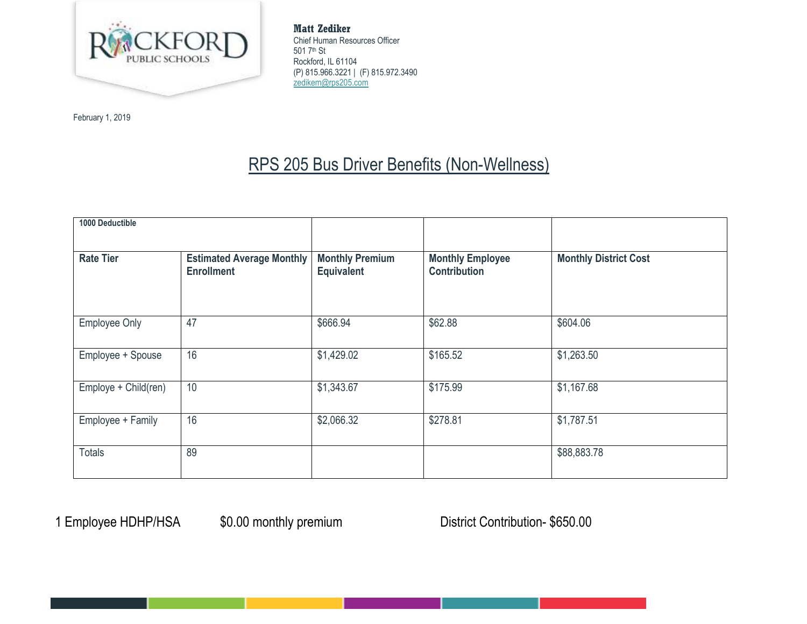

February 1, 2019

**Matt Zediker** Chief Human Resources Officer 501 7th St Rockford, IL 61104 (P) 815.966.3221 | (F) 815.972.3490 [zedikem@rps205.com](mailto:zedikem@rps205.com)

# RPS 205 Bus Driver Benefits (Non-Wellness)

| 1000 Deductible      |                                                       |                                             |                                                |                              |
|----------------------|-------------------------------------------------------|---------------------------------------------|------------------------------------------------|------------------------------|
| <b>Rate Tier</b>     | <b>Estimated Average Monthly</b><br><b>Enrollment</b> | <b>Monthly Premium</b><br><b>Equivalent</b> | <b>Monthly Employee</b><br><b>Contribution</b> | <b>Monthly District Cost</b> |
| <b>Employee Only</b> | 47                                                    | \$666.94                                    | \$62.88                                        | \$604.06                     |
| Employee + Spouse    | 16                                                    | \$1,429.02                                  | \$165.52                                       | \$1,263.50                   |
| Employe + Child(ren) | 10                                                    | \$1,343.67                                  | \$175.99                                       | \$1,167.68                   |
| Employee + Family    | 16                                                    | \$2,066.32                                  | \$278.81                                       | \$1,787.51                   |
| <b>Totals</b>        | 89                                                    |                                             |                                                | \$88,883.78                  |

1 Employee HDHP/HSA  $$0.00$  monthly premium District Contribution- \$650.00